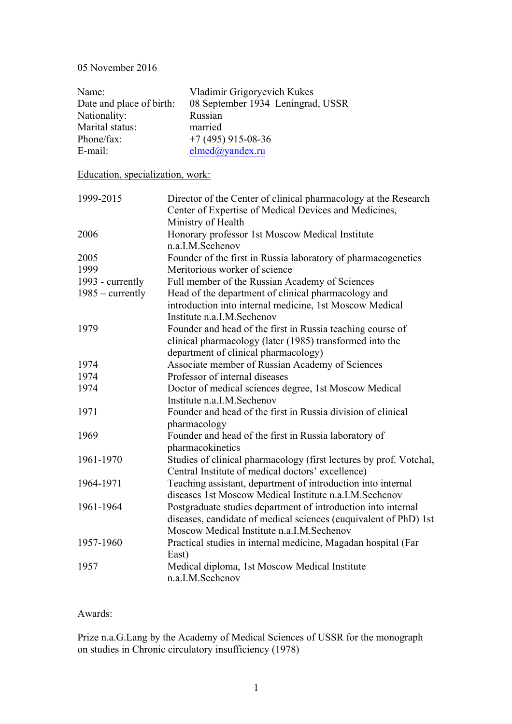### 05 November 2016

| Name:                            | Vladimir Grigoryevich Kukes                                                                                              |
|----------------------------------|--------------------------------------------------------------------------------------------------------------------------|
| Date and place of birth:         | 08 September 1934 Leningrad, USSR                                                                                        |
| Nationality:                     | Russian                                                                                                                  |
| Marital status:                  | married                                                                                                                  |
| Phone/fax:                       | $+7(495)$ 915-08-36                                                                                                      |
| E-mail:                          | elmed@yandex.ru                                                                                                          |
|                                  |                                                                                                                          |
| Education, specialization, work: |                                                                                                                          |
| 1999-2015                        | Director of the Center of clinical pharmacology at the Research<br>Center of Expertise of Medical Devices and Medicines, |
|                                  | Ministry of Health                                                                                                       |
| 2006                             | Honorary professor 1st Moscow Medical Institute<br>n.a.I.M.Sechenov                                                      |
| 2005                             | Founder of the first in Russia laboratory of pharmacogenetics                                                            |
| 1999                             | Meritorious worker of science                                                                                            |
| 1993 - currently                 | Full member of the Russian Academy of Sciences                                                                           |
| $1985$ – currently               | Head of the department of clinical pharmacology and                                                                      |
|                                  | introduction into internal medicine, 1st Moscow Medical                                                                  |
|                                  | Institute n.a.I.M.Sechenov                                                                                               |
| 1979                             | Founder and head of the first in Russia teaching course of                                                               |
|                                  | clinical pharmacology (later (1985) transformed into the                                                                 |
|                                  | department of clinical pharmacology)                                                                                     |
| 1974                             | Associate member of Russian Academy of Sciences                                                                          |
| 1974                             | Professor of internal diseases                                                                                           |
| 1974                             | Doctor of medical sciences degree, 1st Moscow Medical                                                                    |
|                                  | Institute n.a.I.M.Sechenov                                                                                               |
| 1971                             | Founder and head of the first in Russia division of clinical                                                             |
|                                  | pharmacology                                                                                                             |
| 1969                             | Founder and head of the first in Russia laboratory of                                                                    |
|                                  | pharmacokinetics                                                                                                         |
| 1961-1970                        | Studies of clinical pharmacology (first lectures by prof. Votchal,<br>Central Institute of medical doctors' excellence)  |
| 1964-1971                        | Teaching assistant, department of introduction into internal                                                             |
|                                  | diseases 1st Moscow Medical Institute n.a.I.M.Sechenov                                                                   |
| 1961-1964                        | Postgraduate studies department of introduction into internal                                                            |
|                                  | diseases, candidate of medical sciences (euquivalent of PhD) 1st                                                         |
|                                  | Moscow Medical Institute n.a.I.M.Sechenov                                                                                |
| 1957-1960                        | Practical studies in internal medicine, Magadan hospital (Far                                                            |
|                                  | East)                                                                                                                    |
| 1957                             | Medical diploma, 1st Moscow Medical Institute                                                                            |
|                                  | n.a.I.M.Sechenov                                                                                                         |

# Awards:

Prize n.a.G.Lang by the Academy of Medical Sciences of USSR for the monograph on studies in Chronic circulatory insufficiency (1978)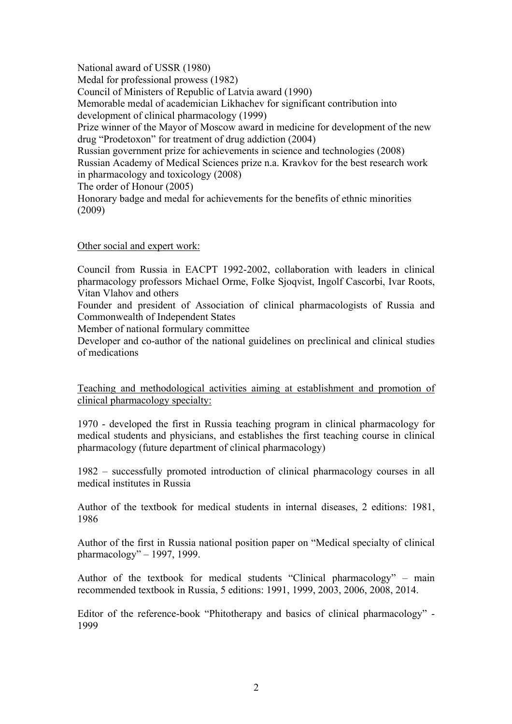National award of USSR (1980) Medal for professional prowess (1982) Council of Ministers of Republic of Latvia award (1990) Memorable medal of academician Likhachev for significant contribution into development of clinical pharmacology (1999) Prize winner of the Mayor of Moscow award in medicine for development of the new drug "Prodetoxon" for treatment of drug addiction (2004) Russian government prize for achievements in science and technologies (2008) Russian Academy of Medical Sciences prize n.a. Kravkov for the best research work in pharmacology and toxicology (2008) The order of Honour (2005) Honorary badge and medal for achievements for the benefits of ethnic minorities (2009)

### Other social and expert work:

Council from Russia in EACPT 1992-2002, collaboration with leaders in clinical pharmacology professors Michael Orme, Folke Sjoqvist, Ingolf Cascorbi, Ivar Roots, Vitan Vlahov and others

Founder and president of Association of clinical pharmacologists of Russia and Commonwealth of Independent States

Member of national formulary committee

Developer and co-author of the national guidelines on preclinical and clinical studies of medications

Teaching and methodological activities aiming at establishment and promotion of clinical pharmacology specialty:

1970 - developed the first in Russia teaching program in clinical pharmacology for medical students and physicians, and establishes the first teaching course in clinical pharmacology (future department of clinical pharmacology)

1982 – successfully promoted introduction of clinical pharmacology courses in all medical institutes in Russia

Author of the textbook for medical students in internal diseases, 2 editions: 1981, 1986

Author of the first in Russia national position paper on "Medical specialty of clinical pharmacology" – 1997, 1999.

Author of the textbook for medical students "Clinical pharmacology" – main recommended textbook in Russia, 5 editions: 1991, 1999, 2003, 2006, 2008, 2014.

Editor of the reference-book "Phitotherapy and basics of clinical pharmacology" - 1999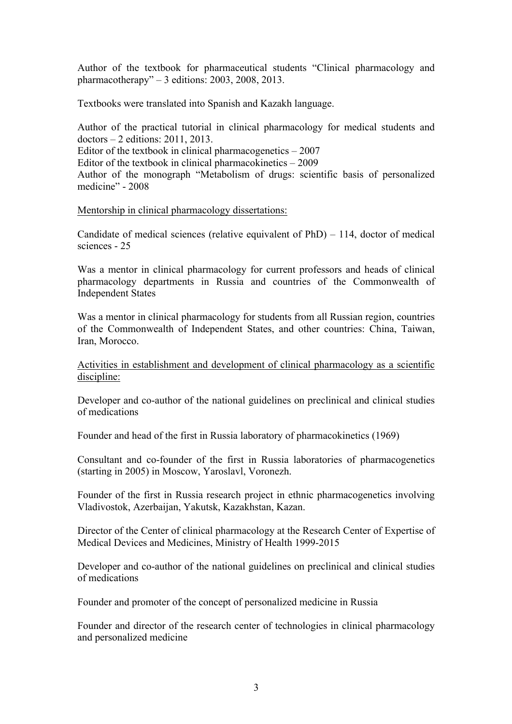Author of the textbook for pharmaceutical students "Clinical pharmacology and pharmacotherapy" – 3 editions: 2003, 2008, 2013.

Textbooks were translated into Spanish and Kazakh language.

Author of the practical tutorial in clinical pharmacology for medical students and doctors – 2 editions: 2011, 2013. Editor of the textbook in clinical pharmacogenetics  $-2007$ Editor of the textbook in clinical pharmacokinetics – 2009 Author of the monograph "Metabolism of drugs: scientific basis of personalized medicine" - 2008

### Mentorship in clinical pharmacology dissertations:

Candidate of medical sciences (relative equivalent of PhD) – 114, doctor of medical sciences - 25

Was a mentor in clinical pharmacology for current professors and heads of clinical pharmacology departments in Russia and countries of the Commonwealth of Independent States

Was a mentor in clinical pharmacology for students from all Russian region, countries of the Commonwealth of Independent States, and other countries: China, Taiwan, Iran, Morocco.

Activities in establishment and development of clinical pharmacology as a scientific discipline:

Developer and co-author of the national guidelines on preclinical and clinical studies of medications

Founder and head of the first in Russia laboratory of pharmacokinetics (1969)

Consultant and co-founder of the first in Russia laboratories of pharmacogenetics (starting in 2005) in Moscow, Yaroslavl, Voronezh.

Founder of the first in Russia research project in ethnic pharmacogenetics involving Vladivostok, Azerbaijan, Yakutsk, Kazakhstan, Kazan.

Director of the Center of clinical pharmacology at the Research Center of Expertise of Medical Devices and Medicines, Ministry of Health 1999-2015

Developer and co-author of the national guidelines on preclinical and clinical studies of medications

Founder and promoter of the concept of personalized medicine in Russia

Founder and director of the research center of technologies in clinical pharmacology and personalized medicine